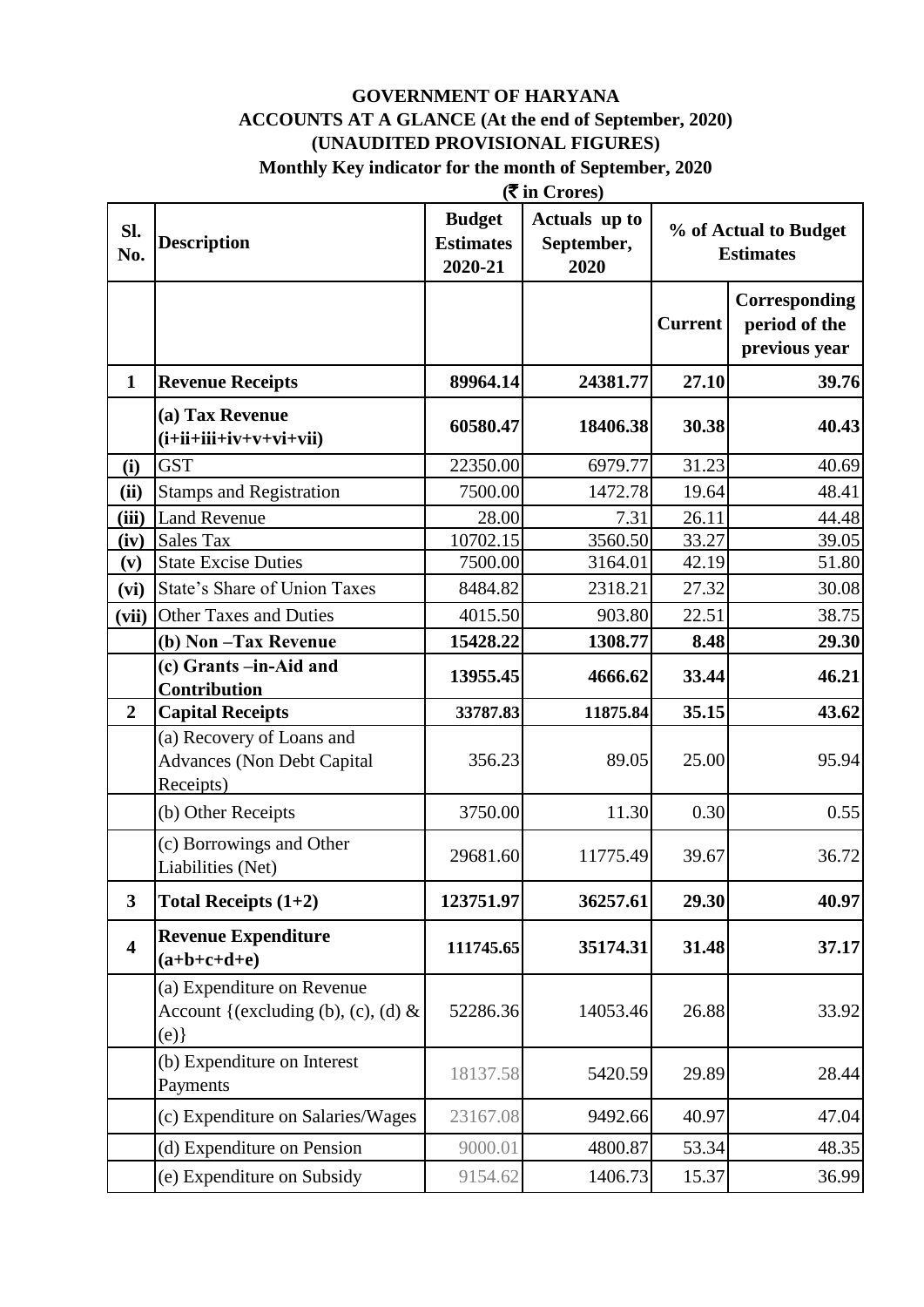#### **GOVERNMENT OF HARYANA ACCOUNTS AT A GLANCE (At the end of September, 2020) (UNAUDITED PROVISIONAL FIGURES) Monthly Key indicator for the month of September, 2020**

|                         | $($ ₹ in Crores)                                                            |                                              |                                     |                |                                                 |
|-------------------------|-----------------------------------------------------------------------------|----------------------------------------------|-------------------------------------|----------------|-------------------------------------------------|
| Sl.<br>No.              | <b>Description</b>                                                          | <b>Budget</b><br><b>Estimates</b><br>2020-21 | Actuals up to<br>September,<br>2020 |                | % of Actual to Budget<br><b>Estimates</b>       |
|                         |                                                                             |                                              |                                     | <b>Current</b> | Corresponding<br>period of the<br>previous year |
| $\mathbf{1}$            | <b>Revenue Receipts</b>                                                     | 89964.14                                     | 24381.77                            | 27.10          | 39.76                                           |
|                         | (a) Tax Revenue<br>$(i+ii+iii+iv+v+vi+vii)$                                 | 60580.47                                     | 18406.38                            | 30.38          | 40.43                                           |
| (i)                     | <b>GST</b>                                                                  | 22350.00                                     | 6979.77                             | 31.23          | 40.69                                           |
| (ii)                    | <b>Stamps and Registration</b>                                              | 7500.00                                      | 1472.78                             | 19.64          | 48.41                                           |
| (iii)                   | <b>Land Revenue</b>                                                         | 28.00                                        | 7.31                                | 26.11          | 44.48                                           |
| (iv)                    | <b>Sales Tax</b>                                                            | 10702.15                                     | 3560.50                             | 33.27          | 39.05                                           |
| (v)                     | <b>State Excise Duties</b>                                                  | 7500.00                                      | 3164.01                             | 42.19          | 51.80                                           |
| (vi)                    | State's Share of Union Taxes                                                | 8484.82                                      | 2318.21                             | 27.32          | 30.08                                           |
| (vii)                   | <b>Other Taxes and Duties</b>                                               | 4015.50                                      | 903.80                              | 22.51          | 38.75                                           |
|                         | (b) Non-Tax Revenue                                                         | 15428.22                                     | 1308.77                             | 8.48           | 29.30                                           |
|                         | (c) Grants -in-Aid and<br>Contribution                                      | 13955.45                                     | 4666.62                             | 33.44          | 46.21                                           |
| $\boldsymbol{2}$        | <b>Capital Receipts</b>                                                     | 33787.83                                     | 11875.84                            | 35.15          | 43.62                                           |
|                         | (a) Recovery of Loans and<br><b>Advances (Non Debt Capital</b><br>Receipts) | 356.23                                       | 89.05                               | 25.00          | 95.94                                           |
|                         | (b) Other Receipts                                                          | 3750.00                                      | 11.30                               | 0.30           | 0.55                                            |
|                         | (c) Borrowings and Other<br>Liabilities (Net)                               | 29681.60                                     | 11775.49                            | 39.67          | 36.72                                           |
| $\mathbf{3}$            | Total Receipts $(1+2)$                                                      | 123751.97                                    | 36257.61                            | 29.30          | 40.97                                           |
| $\overline{\mathbf{4}}$ | <b>Revenue Expenditure</b><br>$(a+b+c+d+e)$                                 | 111745.65                                    | 35174.31                            | 31.48          | 37.17                                           |
|                         | (a) Expenditure on Revenue<br>Account {(excluding (b), (c), (d) $\&$<br>(e) | 52286.36                                     | 14053.46                            | 26.88          | 33.92                                           |
|                         | (b) Expenditure on Interest<br>Payments                                     | 18137.58                                     | 5420.59                             | 29.89          | 28.44                                           |
|                         | (c) Expenditure on Salaries/Wages                                           | 23167.08                                     | 9492.66                             | 40.97          | 47.04                                           |
|                         | (d) Expenditure on Pension                                                  | 9000.01                                      | 4800.87                             | 53.34          | 48.35                                           |
|                         | (e) Expenditure on Subsidy                                                  | 9154.62                                      | 1406.73                             | 15.37          | 36.99                                           |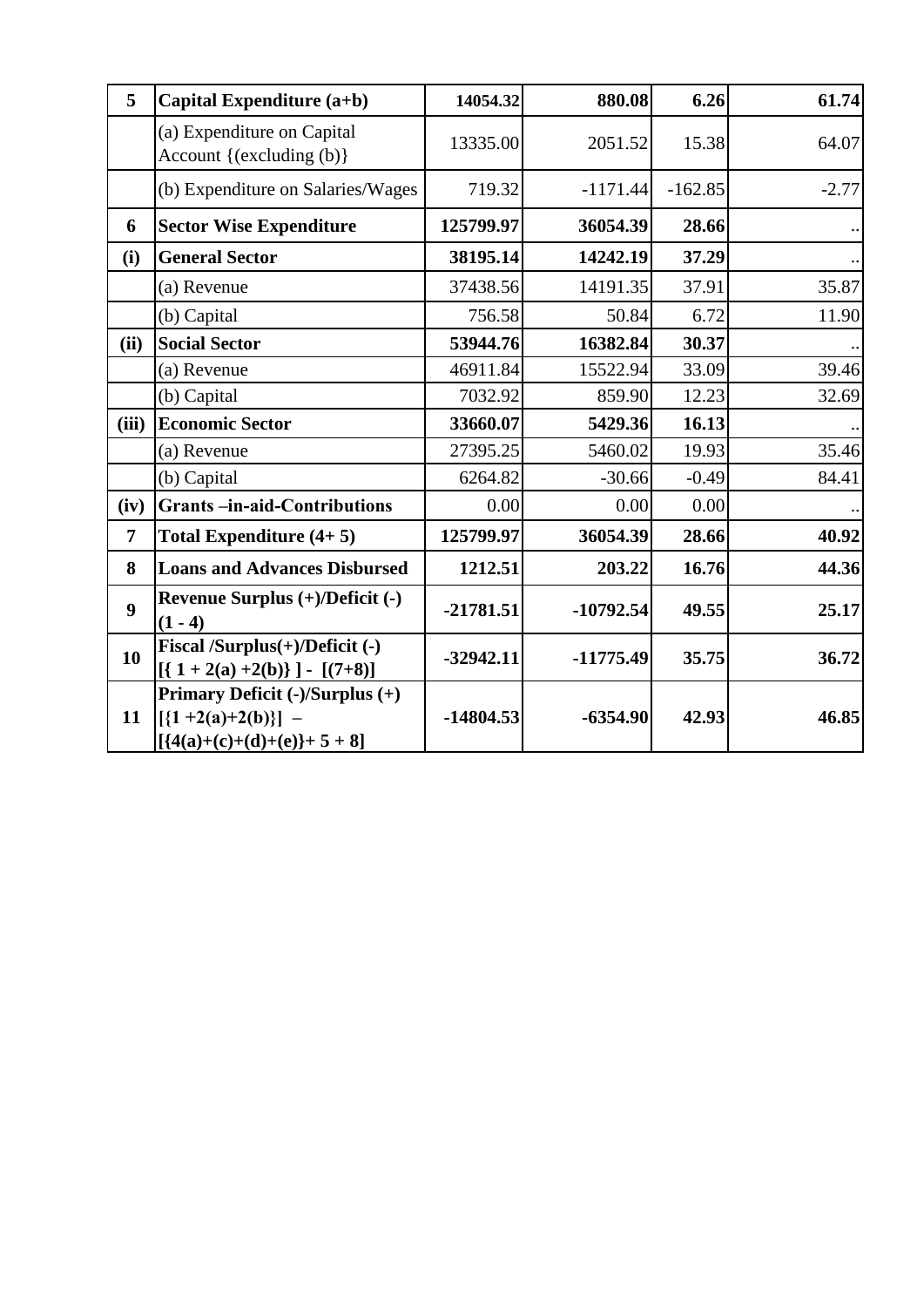| 5                | Capital Expenditure (a+b)                                                                | 14054.32    | 880.08      | 6.26      | 61.74   |
|------------------|------------------------------------------------------------------------------------------|-------------|-------------|-----------|---------|
|                  | (a) Expenditure on Capital<br>Account {(excluding (b)}                                   | 13335.00    | 2051.52     | 15.38     | 64.07   |
|                  | (b) Expenditure on Salaries/Wages                                                        | 719.32      | $-1171.44$  | $-162.85$ | $-2.77$ |
| 6                | <b>Sector Wise Expenditure</b>                                                           | 125799.97   | 36054.39    | 28.66     |         |
| (i)              | <b>General Sector</b>                                                                    | 38195.14    | 14242.19    | 37.29     |         |
|                  | (a) Revenue                                                                              | 37438.56    | 14191.35    | 37.91     | 35.87   |
|                  | (b) Capital                                                                              | 756.58      | 50.84       | 6.72      | 11.90   |
| (ii)             | <b>Social Sector</b>                                                                     | 53944.76    | 16382.84    | 30.37     |         |
|                  | (a) Revenue                                                                              | 46911.84    | 15522.94    | 33.09     | 39.46   |
|                  | (b) Capital                                                                              | 7032.92     | 859.90      | 12.23     | 32.69   |
| (iii)            | <b>Economic Sector</b>                                                                   | 33660.07    | 5429.36     | 16.13     |         |
|                  | (a) Revenue                                                                              | 27395.25    | 5460.02     | 19.93     | 35.46   |
|                  | (b) Capital                                                                              | 6264.82     | $-30.66$    | $-0.49$   | 84.41   |
| (iv)             | <b>Grants-in-aid-Contributions</b>                                                       | 0.00        | 0.00        | 0.00      |         |
| $\overline{7}$   | Total Expenditure $(4+5)$                                                                | 125799.97   | 36054.39    | 28.66     | 40.92   |
| 8                | <b>Loans and Advances Disbursed</b>                                                      | 1212.51     | 203.22      | 16.76     | 44.36   |
| $\boldsymbol{9}$ | Revenue Surplus (+)/Deficit (-)<br>$(1 - 4)$                                             | $-21781.51$ | $-10792.54$ | 49.55     | 25.17   |
| 10               | Fiscal /Surplus(+)/Deficit (-)<br>$[(1+2(a)+2(b))] - [(7+8)]$                            | $-32942.11$ | $-11775.49$ | 35.75     | 36.72   |
| 11               | Primary Deficit (-)/Surplus (+)<br>$[\{1+2(a)+2(b)\}]$ –<br>$[ {4(a)+(c)+(d)+(e)}+5+8 ]$ | $-14804.53$ | $-6354.90$  | 42.93     | 46.85   |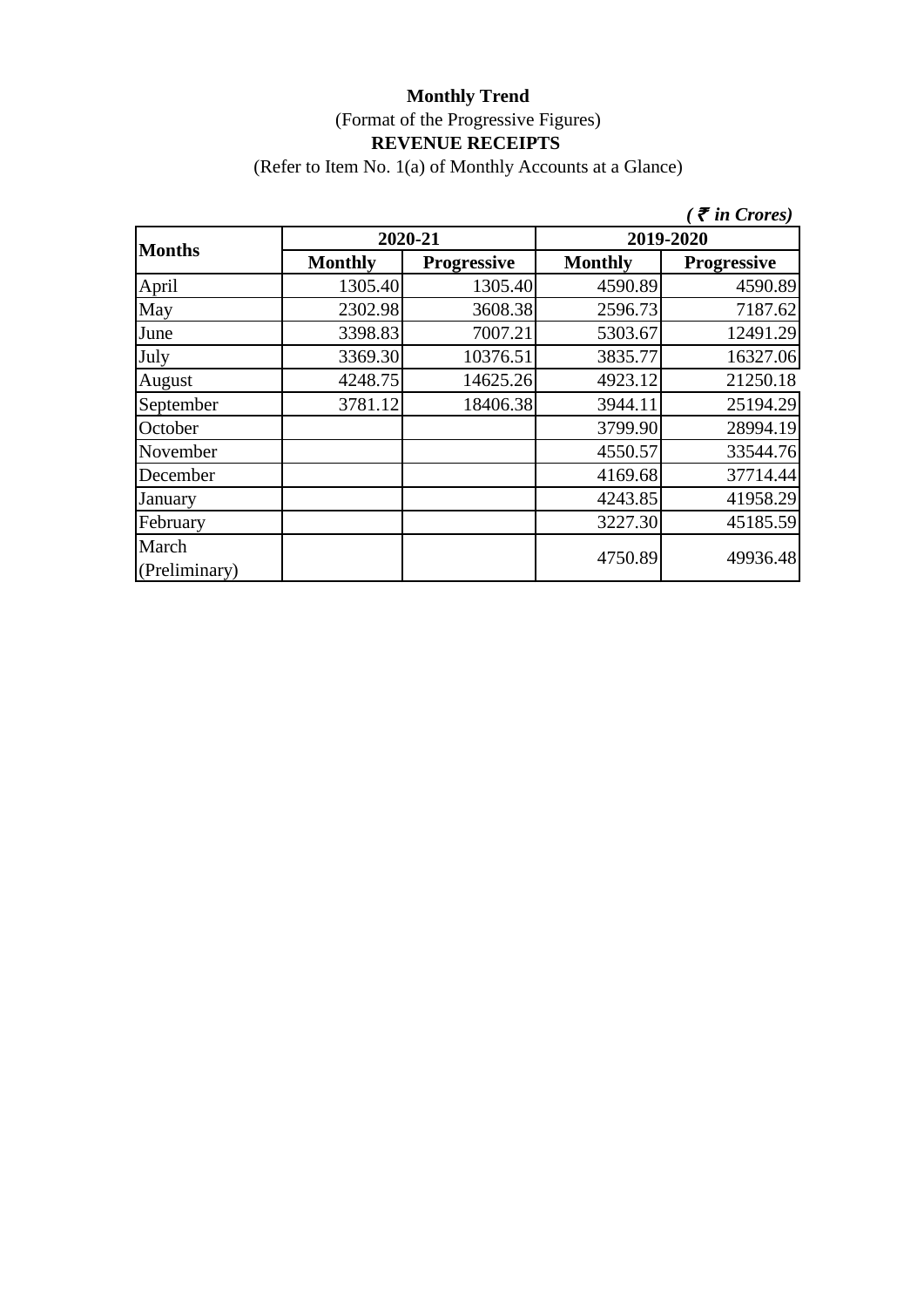(Refer to Item No. 1(a) of Monthly Accounts at a Glance)

|                        |                |                    |                | $\zeta$ <i>( <math>\bar{\zeta}</math> in Crores)</i> |  |
|------------------------|----------------|--------------------|----------------|------------------------------------------------------|--|
| <b>Months</b>          |                | 2020-21            | 2019-2020      |                                                      |  |
|                        | <b>Monthly</b> | <b>Progressive</b> | <b>Monthly</b> | <b>Progressive</b>                                   |  |
| April                  | 1305.40        | 1305.40            | 4590.89        | 4590.89                                              |  |
| May                    | 2302.98        | 3608.38            | 2596.73        | 7187.62                                              |  |
| June                   | 3398.83        | 7007.21            | 5303.67        | 12491.29                                             |  |
| July                   | 3369.30        | 10376.51           | 3835.77        | 16327.06                                             |  |
| August                 | 4248.75        | 14625.26           | 4923.12        | 21250.18                                             |  |
| September              | 3781.12        | 18406.38           | 3944.11        | 25194.29                                             |  |
| October                |                |                    | 3799.90        | 28994.19                                             |  |
| November               |                |                    | 4550.57        | 33544.76                                             |  |
| December               |                |                    | 4169.68        | 37714.44                                             |  |
| January                |                |                    | 4243.85        | 41958.29                                             |  |
| February               |                |                    | 3227.30        | 45185.59                                             |  |
| March<br>(Preliminary) |                |                    | 4750.89        | 49936.48                                             |  |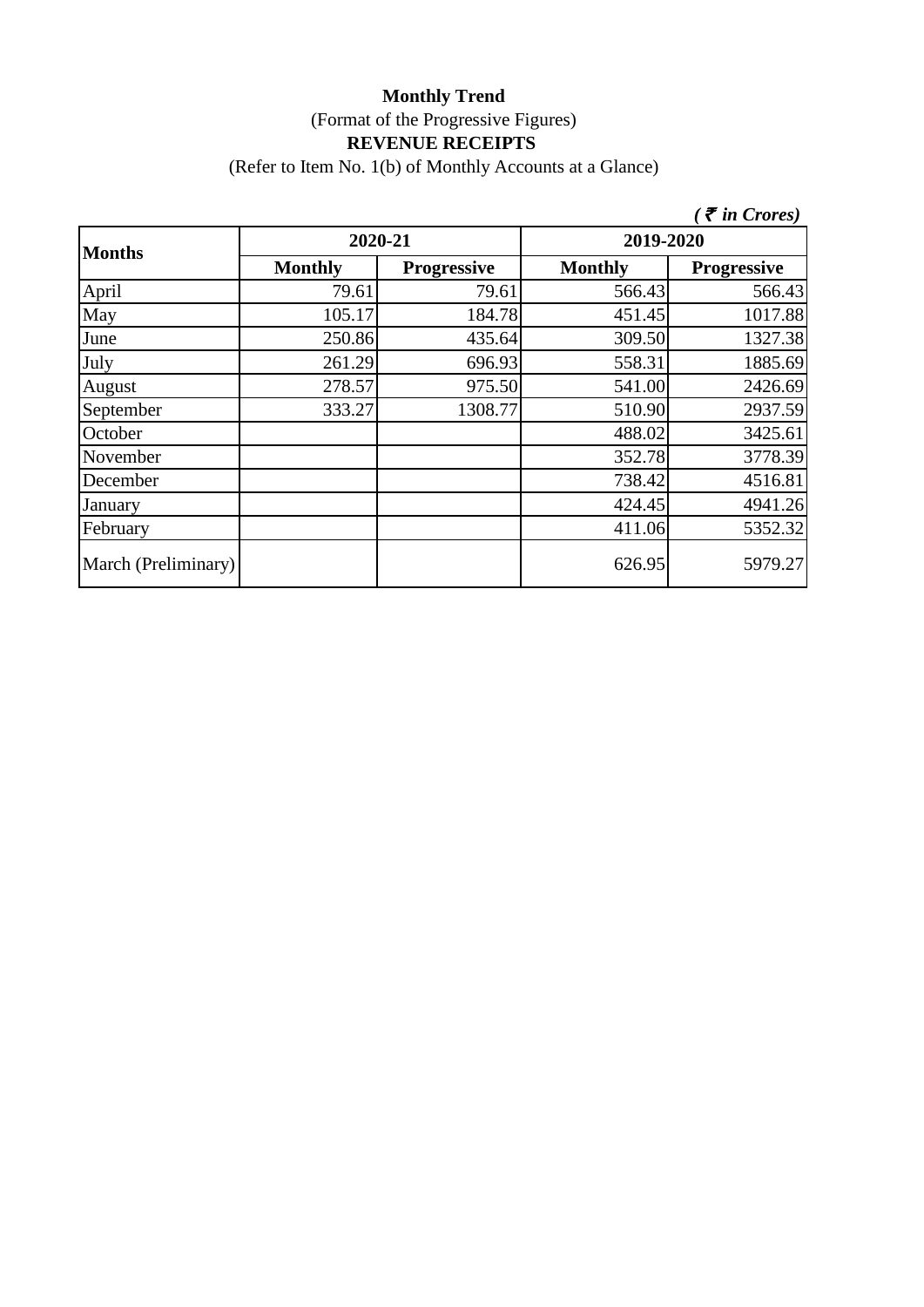(Refer to Item No. 1(b) of Monthly Accounts at a Glance)

|                     |                |                    |                | $($ $\bar{\tau}$ in Crores) |  |
|---------------------|----------------|--------------------|----------------|-----------------------------|--|
| <b>Months</b>       | 2020-21        |                    | 2019-2020      |                             |  |
|                     | <b>Monthly</b> | <b>Progressive</b> | <b>Monthly</b> | <b>Progressive</b>          |  |
| April               | 79.61          | 79.61              | 566.43         | 566.43                      |  |
| May                 | 105.17         | 184.78             | 451.45         | 1017.88                     |  |
| June                | 250.86         | 435.64             | 309.50         | 1327.38                     |  |
| July                | 261.29         | 696.93             | 558.31         | 1885.69                     |  |
| August              | 278.57         | 975.50             | 541.00         | 2426.69                     |  |
| September           | 333.27         | 1308.77            | 510.90         | 2937.59                     |  |
| October             |                |                    | 488.02         | 3425.61                     |  |
| November            |                |                    | 352.78         | 3778.39                     |  |
| December            |                |                    | 738.42         | 4516.81                     |  |
| January             |                |                    | 424.45         | 4941.26                     |  |
| February            |                |                    | 411.06         | 5352.32                     |  |
| March (Preliminary) |                |                    | 626.95         | 5979.27                     |  |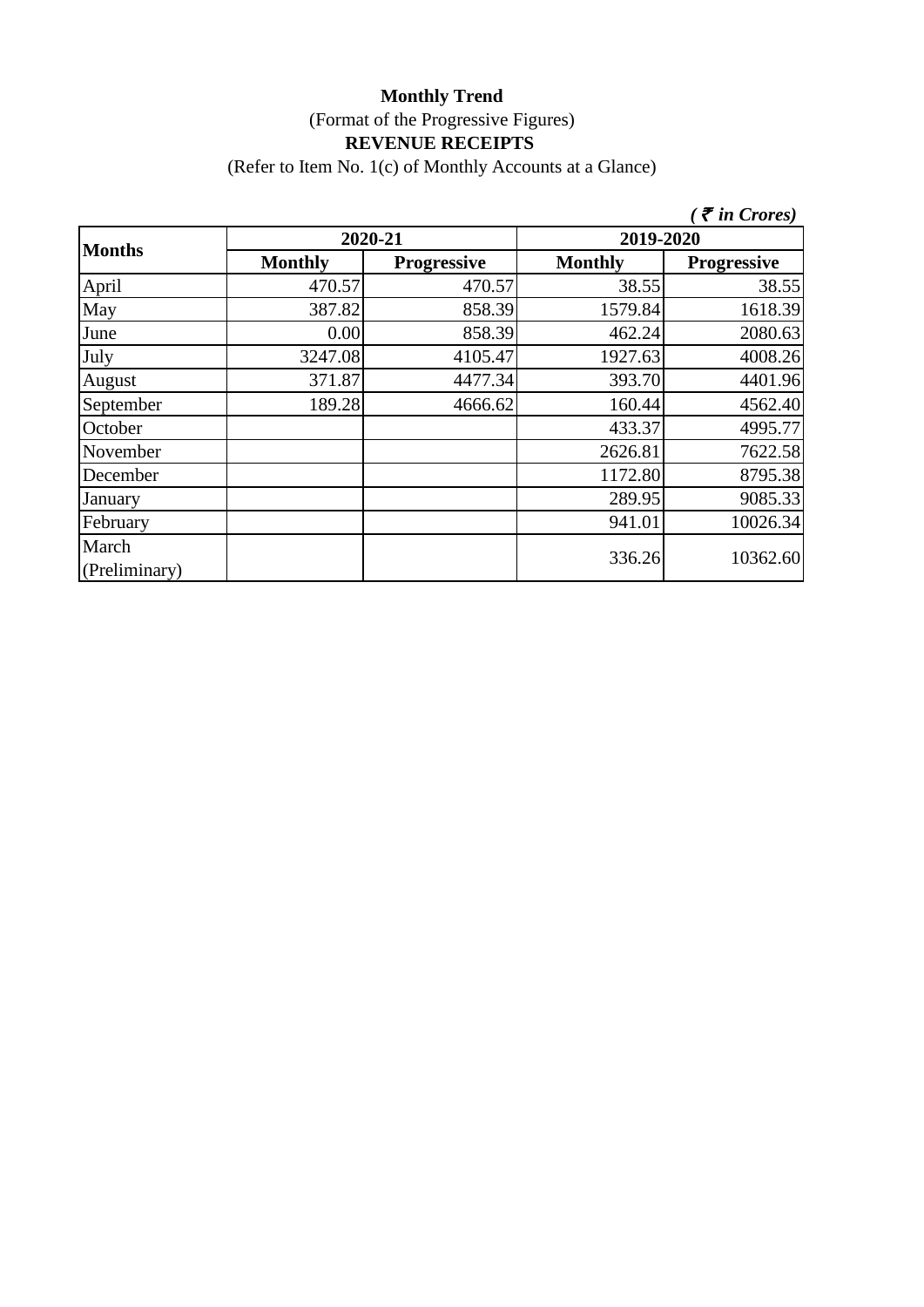(Refer to Item No. 1(c) of Monthly Accounts at a Glance)

|                        |                |                    |                | $\zeta$ <i>( <math>\bar{\zeta}</math> in Crores)</i> |  |
|------------------------|----------------|--------------------|----------------|------------------------------------------------------|--|
| <b>Months</b>          | 2020-21        |                    | 2019-2020      |                                                      |  |
|                        | <b>Monthly</b> | <b>Progressive</b> | <b>Monthly</b> | <b>Progressive</b>                                   |  |
| April                  | 470.57         | 470.57             | 38.55          | 38.55                                                |  |
| May                    | 387.82         | 858.39             | 1579.84        | 1618.39                                              |  |
| June                   | 0.00           | 858.39             | 462.24         | 2080.63                                              |  |
| July                   | 3247.08        | 4105.47            | 1927.63        | 4008.26                                              |  |
| August                 | 371.87         | 4477.34            | 393.70         | 4401.96                                              |  |
| September              | 189.28         | 4666.62            | 160.44         | 4562.40                                              |  |
| October                |                |                    | 433.37         | 4995.77                                              |  |
| November               |                |                    | 2626.81        | 7622.58                                              |  |
| December               |                |                    | 1172.80        | 8795.38                                              |  |
| January                |                |                    | 289.95         | 9085.33                                              |  |
| February               |                |                    | 941.01         | 10026.34                                             |  |
| March<br>(Preliminary) |                |                    | 336.26         | 10362.60                                             |  |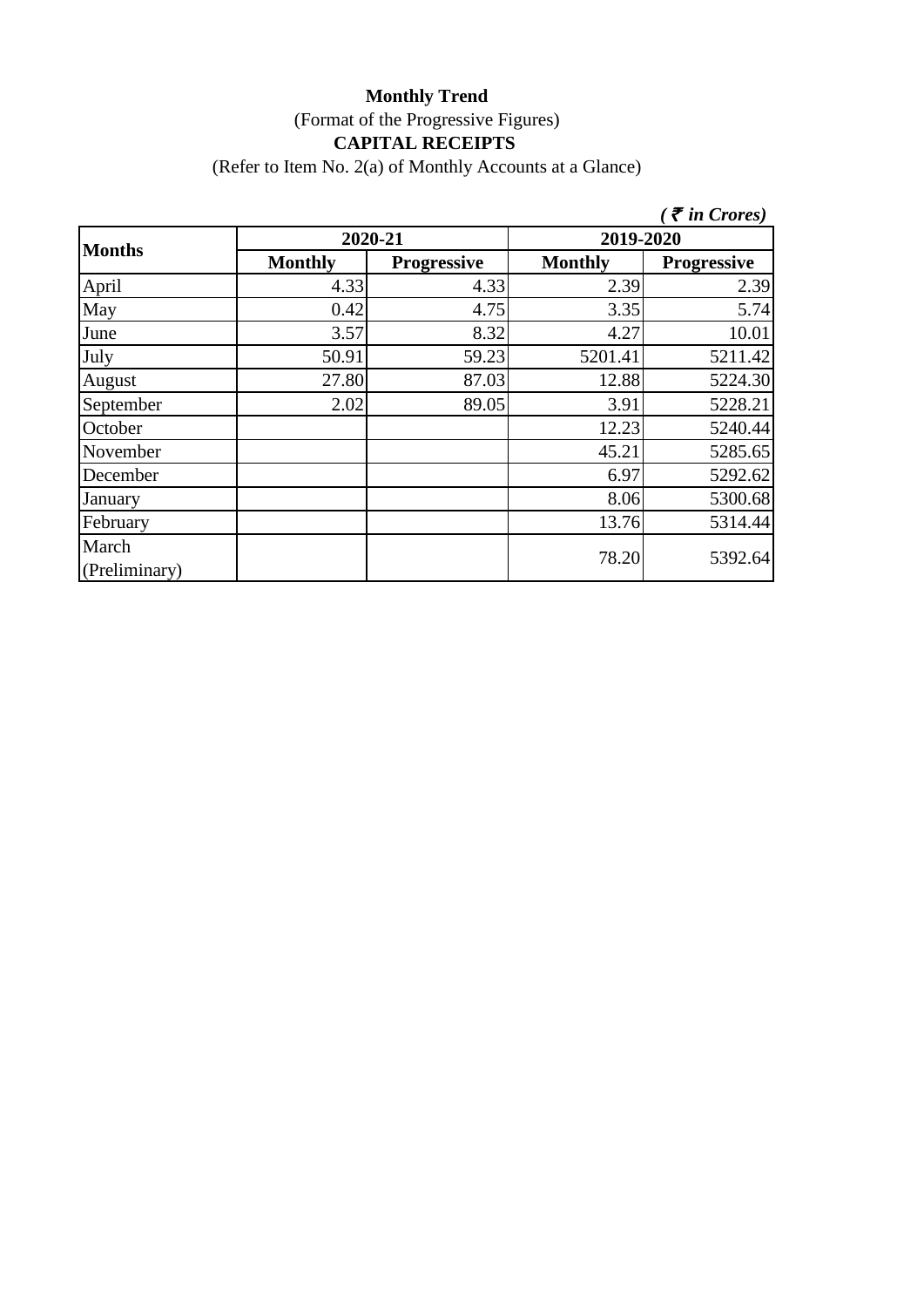## **Monthly Trend** (Format of the Progressive Figures) **CAPITAL RECEIPTS**

(Refer to Item No. 2(a) of Monthly Accounts at a Glance)

|                        |                |                    |                | $\zeta$ $\bar{\zeta}$ in Crores) |  |
|------------------------|----------------|--------------------|----------------|----------------------------------|--|
|                        | 2020-21        |                    | 2019-2020      |                                  |  |
| <b>Months</b>          | <b>Monthly</b> | <b>Progressive</b> | <b>Monthly</b> | <b>Progressive</b>               |  |
| April                  | 4.33           | 4.33               | 2.39           | 2.39                             |  |
| May                    | 0.42           | 4.75               | 3.35           | 5.74                             |  |
| June                   | 3.57           | 8.32               | 4.27           | 10.01                            |  |
| July                   | 50.91          | 59.23              | 5201.41        | 5211.42                          |  |
| August                 | 27.80          | 87.03              | 12.88          | 5224.30                          |  |
| September              | 2.02           | 89.05              | 3.91           | 5228.21                          |  |
| October                |                |                    | 12.23          | 5240.44                          |  |
| November               |                |                    | 45.21          | 5285.65                          |  |
| December               |                |                    | 6.97           | 5292.62                          |  |
| January                |                |                    | 8.06           | 5300.68                          |  |
| February               |                |                    | 13.76          | 5314.44                          |  |
| March<br>(Preliminary) |                |                    | 78.20          | 5392.64                          |  |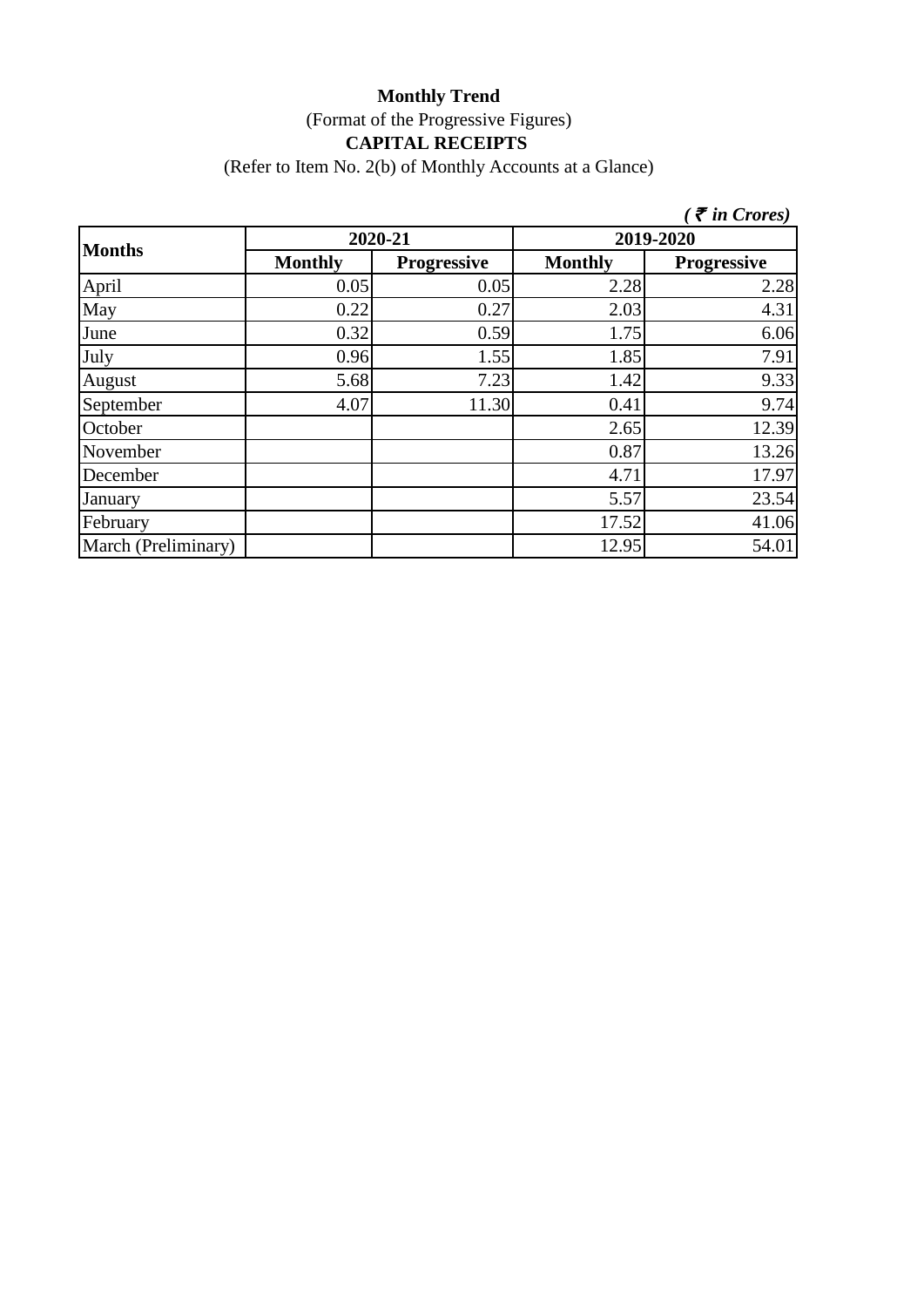# **Monthly Trend** (Format of the Progressive Figures) **CAPITAL RECEIPTS**

(Refer to Item No. 2(b) of Monthly Accounts at a Glance)

|                     |                |                    |                | $\zeta$ $\bar{\zeta}$ in Crores) |  |
|---------------------|----------------|--------------------|----------------|----------------------------------|--|
|                     | 2020-21        |                    | 2019-2020      |                                  |  |
| <b>Months</b>       | <b>Monthly</b> | <b>Progressive</b> | <b>Monthly</b> | <b>Progressive</b>               |  |
| April               | 0.05           | 0.05               | 2.28           | 2.28                             |  |
| May                 | 0.22           | 0.27               | 2.03           | 4.31                             |  |
| June                | 0.32           | 0.59               | 1.75           | 6.06                             |  |
| July                | 0.96           | 1.55               | 1.85           | 7.91                             |  |
| August              | 5.68           | 7.23               | 1.42           | 9.33                             |  |
| September           | 4.07           | 11.30              | 0.41           | 9.74                             |  |
| October             |                |                    | 2.65           | 12.39                            |  |
| November            |                |                    | 0.87           | 13.26                            |  |
| December            |                |                    | 4.71           | 17.97                            |  |
| January             |                |                    | 5.57           | 23.54                            |  |
| February            |                |                    | 17.52          | 41.06                            |  |
| March (Preliminary) |                |                    | 12.95          | 54.01                            |  |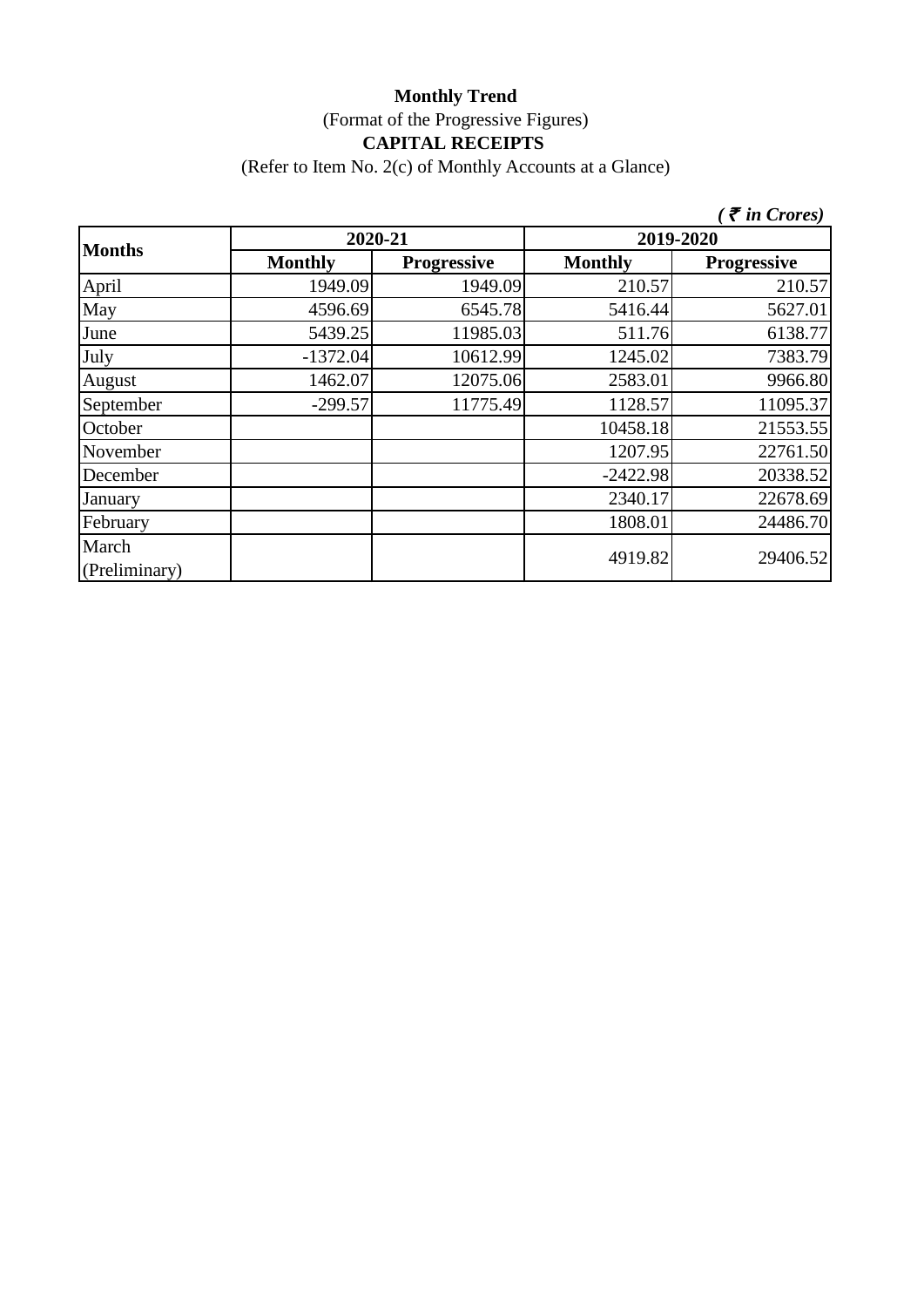## **Monthly Trend** (Format of the Progressive Figures) **CAPITAL RECEIPTS**

(Refer to Item No. 2(c) of Monthly Accounts at a Glance)

|                        |                |                    |                | $\zeta$ $\bar{\zeta}$ in Crores) |  |
|------------------------|----------------|--------------------|----------------|----------------------------------|--|
|                        | 2020-21        |                    | 2019-2020      |                                  |  |
| <b>Months</b>          | <b>Monthly</b> | <b>Progressive</b> | <b>Monthly</b> | <b>Progressive</b>               |  |
| April                  | 1949.09        | 1949.09            | 210.57         | 210.57                           |  |
| May                    | 4596.69        | 6545.78            | 5416.44        | 5627.01                          |  |
| June                   | 5439.25        | 11985.03           | 511.76         | 6138.77                          |  |
| July                   | $-1372.04$     | 10612.99           | 1245.02        | 7383.79                          |  |
| August                 | 1462.07        | 12075.06           | 2583.01        | 9966.80                          |  |
| September              | $-299.57$      | 11775.49           | 1128.57        | 11095.37                         |  |
| October                |                |                    | 10458.18       | 21553.55                         |  |
| November               |                |                    | 1207.95        | 22761.50                         |  |
| December               |                |                    | $-2422.98$     | 20338.52                         |  |
| January                |                |                    | 2340.17        | 22678.69                         |  |
| February               |                |                    | 1808.01        | 24486.70                         |  |
| March<br>(Preliminary) |                |                    | 4919.82        | 29406.52                         |  |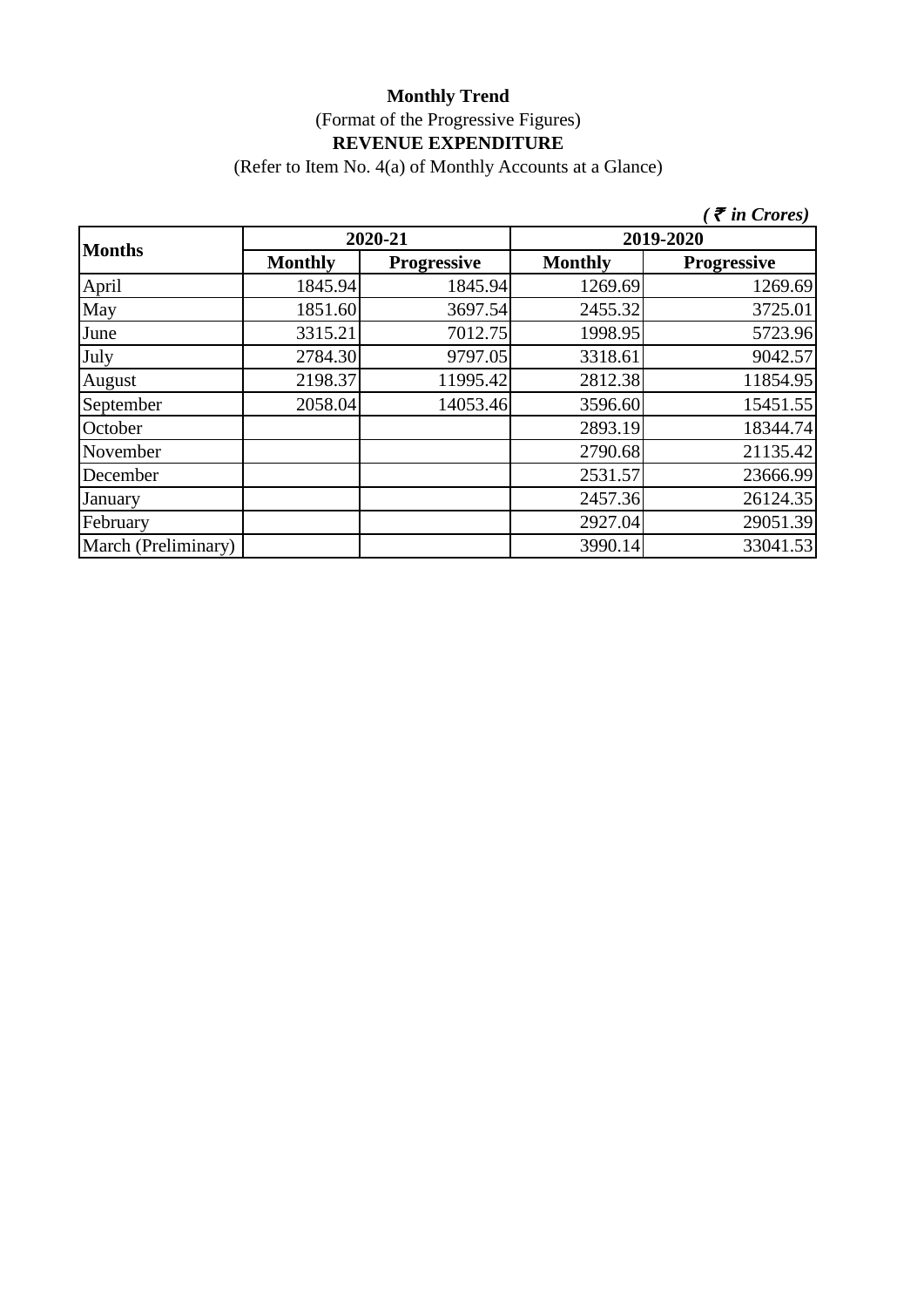(Refer to Item No. 4(a) of Monthly Accounts at a Glance)

|                     |                |                    |                | $\zeta$ $\bar{\zeta}$ in Crores) |
|---------------------|----------------|--------------------|----------------|----------------------------------|
| <b>Months</b>       |                | 2020-21            | 2019-2020      |                                  |
|                     | <b>Monthly</b> | <b>Progressive</b> | <b>Monthly</b> | <b>Progressive</b>               |
| April               | 1845.94        | 1845.94            | 1269.69        | 1269.69                          |
| May                 | 1851.60        | 3697.54            | 2455.32        | 3725.01                          |
| June                | 3315.21        | 7012.75            | 1998.95        | 5723.96                          |
| July                | 2784.30        | 9797.05            | 3318.61        | 9042.57                          |
| August              | 2198.37        | 11995.42           | 2812.38        | 11854.95                         |
| September           | 2058.04        | 14053.46           | 3596.60        | 15451.55                         |
| October             |                |                    | 2893.19        | 18344.74                         |
| November            |                |                    | 2790.68        | 21135.42                         |
| December            |                |                    | 2531.57        | 23666.99                         |
| January             |                |                    | 2457.36        | 26124.35                         |
| February            |                |                    | 2927.04        | 29051.39                         |
| March (Preliminary) |                |                    | 3990.14        | 33041.53                         |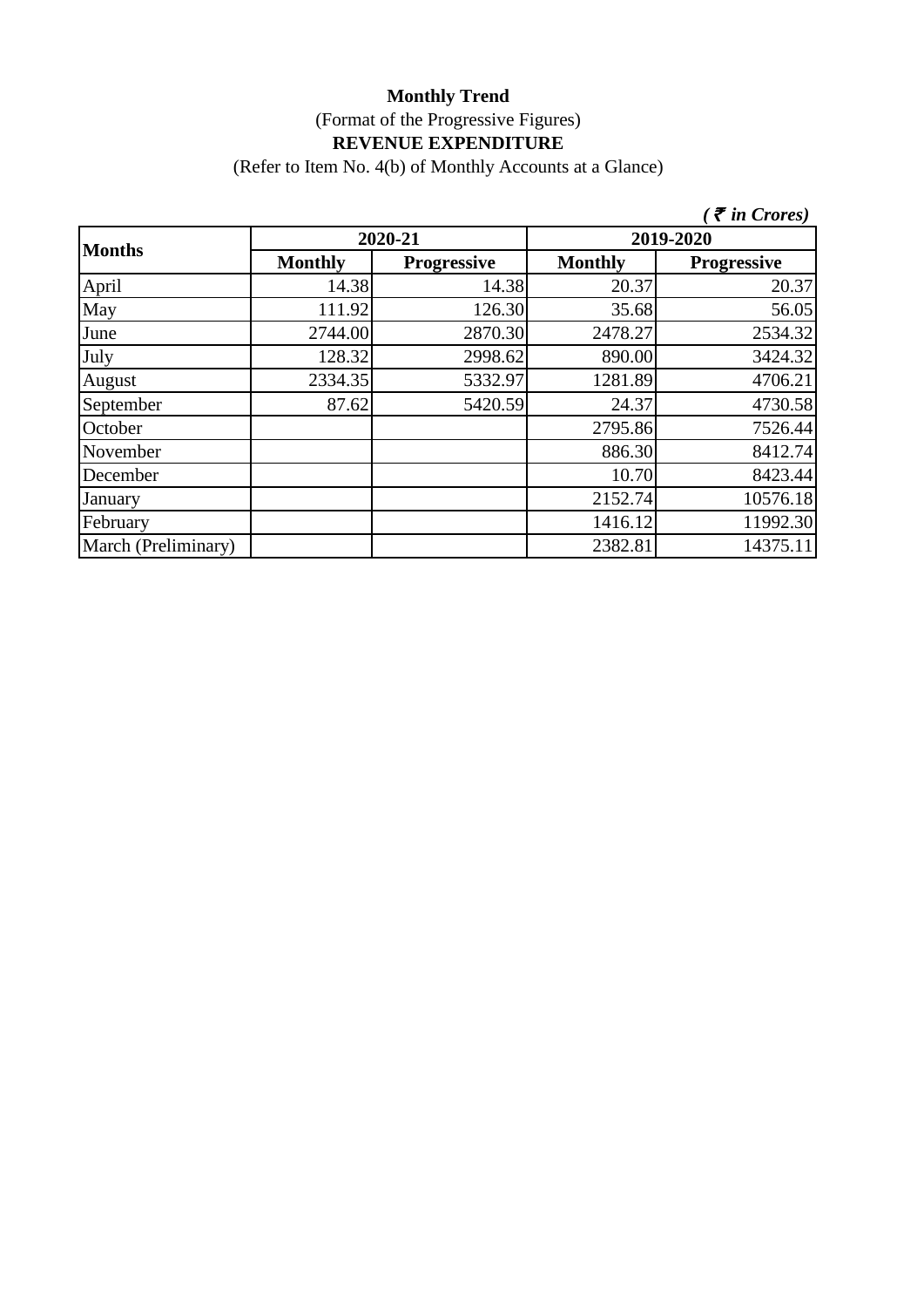(Refer to Item No. 4(b) of Monthly Accounts at a Glance)

|                     |                |                    |                | $\bar{\tau}$ in Crores) |  |
|---------------------|----------------|--------------------|----------------|-------------------------|--|
|                     |                | 2020-21            | 2019-2020      |                         |  |
| <b>Months</b>       | <b>Monthly</b> | <b>Progressive</b> | <b>Monthly</b> | <b>Progressive</b>      |  |
| April               | 14.38          | 14.38              | 20.37          | 20.37                   |  |
| May                 | 111.92         | 126.30             | 35.68          | 56.05                   |  |
| June                | 2744.00        | 2870.30            | 2478.27        | 2534.32                 |  |
| July                | 128.32         | 2998.62            | 890.00         | 3424.32                 |  |
| August              | 2334.35        | 5332.97            | 1281.89        | 4706.21                 |  |
| September           | 87.62          | 5420.59            | 24.37          | 4730.58                 |  |
| October             |                |                    | 2795.86        | 7526.44                 |  |
| November            |                |                    | 886.30         | 8412.74                 |  |
| December            |                |                    | 10.70          | 8423.44                 |  |
| January             |                |                    | 2152.74        | 10576.18                |  |
| February            |                |                    | 1416.12        | 11992.30                |  |
| March (Preliminary) |                |                    | 2382.81        | 14375.11                |  |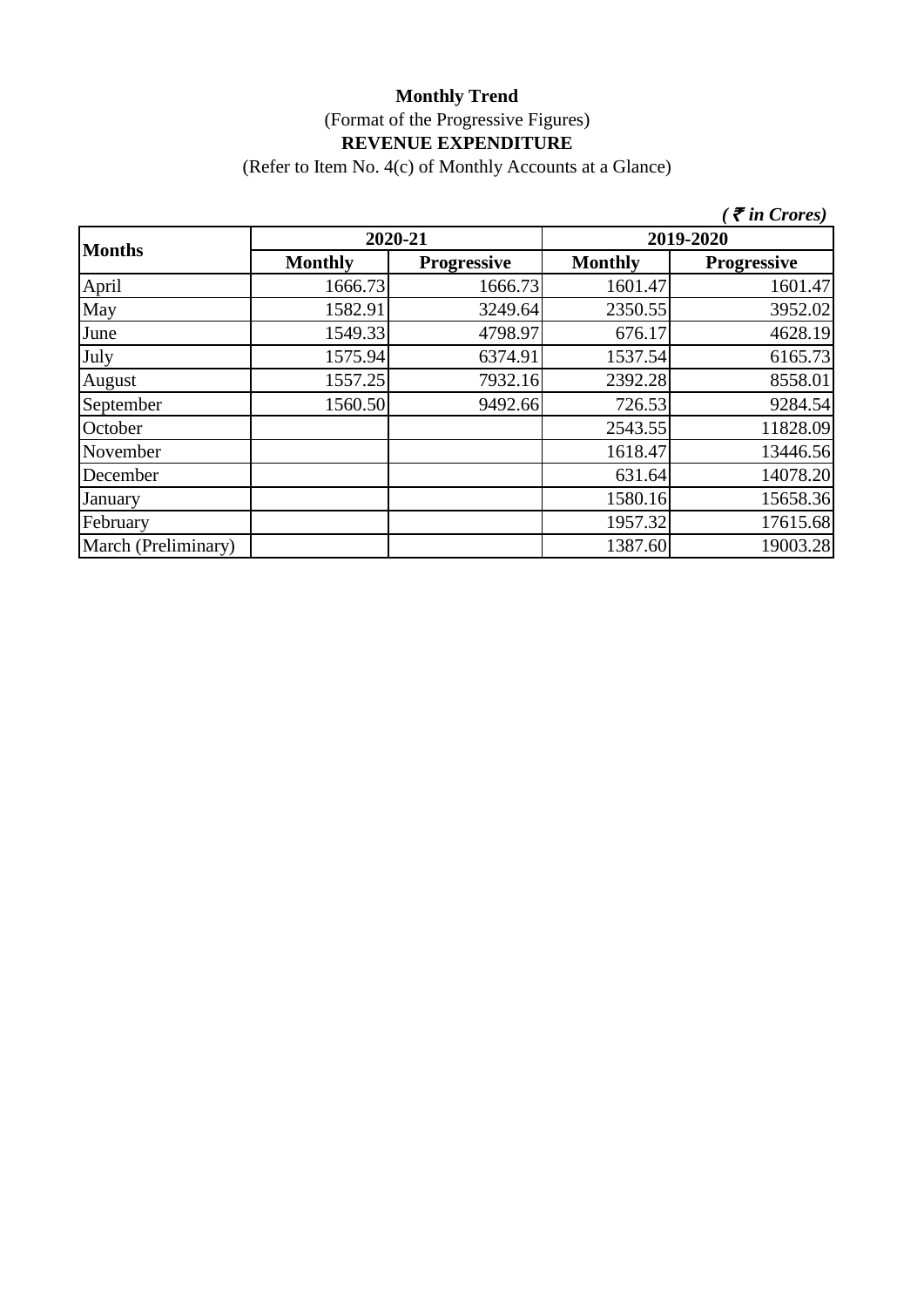(Refer to Item No. 4(c) of Monthly Accounts at a Glance)

|                     |                |                    |                | $\zeta$ $\bar{\zeta}$ in Crores) |
|---------------------|----------------|--------------------|----------------|----------------------------------|
|                     | 2020-21        |                    | 2019-2020      |                                  |
| <b>Months</b>       | <b>Monthly</b> | <b>Progressive</b> | <b>Monthly</b> | <b>Progressive</b>               |
| April               | 1666.73        | 1666.73            | 1601.47        | 1601.47                          |
| May                 | 1582.91        | 3249.64            | 2350.55        | 3952.02                          |
| June                | 1549.33        | 4798.97            | 676.17         | 4628.19                          |
| July                | 1575.94        | 6374.91            | 1537.54        | 6165.73                          |
| August              | 1557.25        | 7932.16            | 2392.28        | 8558.01                          |
| September           | 1560.50        | 9492.66            | 726.53         | 9284.54                          |
| October             |                |                    | 2543.55        | 11828.09                         |
| November            |                |                    | 1618.47        | 13446.56                         |
| December            |                |                    | 631.64         | 14078.20                         |
| January             |                |                    | 1580.16        | 15658.36                         |
| February            |                |                    | 1957.32        | 17615.68                         |
| March (Preliminary) |                |                    | 1387.60        | 19003.28                         |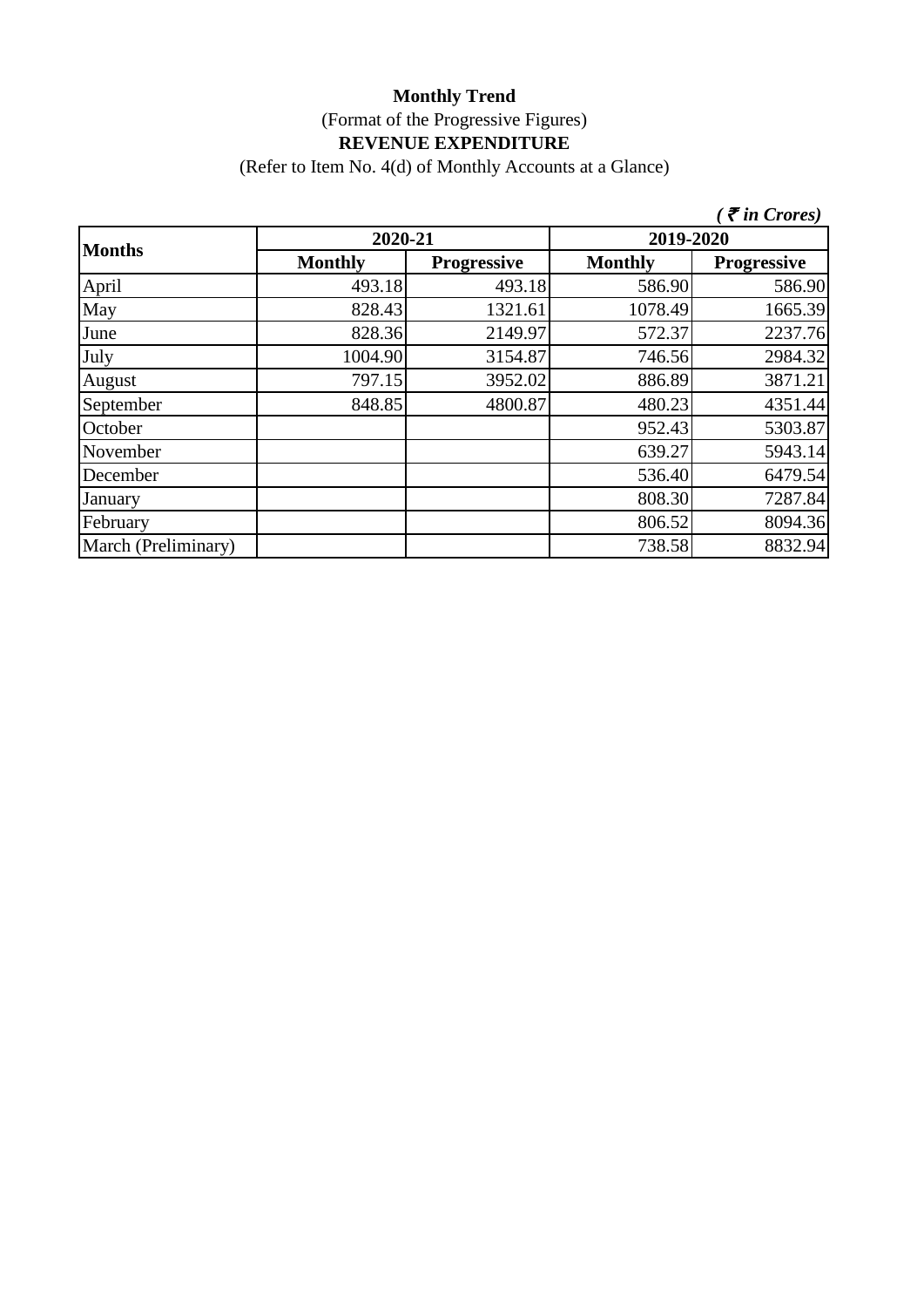(Refer to Item No. 4(d) of Monthly Accounts at a Glance)

|                     |                |                    |                | $\zeta$ $\bar{\zeta}$ in Crores) |  |
|---------------------|----------------|--------------------|----------------|----------------------------------|--|
|                     | 2020-21        |                    | 2019-2020      |                                  |  |
| <b>Months</b>       | <b>Monthly</b> | <b>Progressive</b> | <b>Monthly</b> | <b>Progressive</b>               |  |
| April               | 493.18         | 493.18             | 586.90         | 586.90                           |  |
| May                 | 828.43         | 1321.61            | 1078.49        | 1665.39                          |  |
| June                | 828.36         | 2149.97            | 572.37         | 2237.76                          |  |
| July                | 1004.90        | 3154.87            | 746.56         | 2984.32                          |  |
| August              | 797.15         | 3952.02            | 886.89         | 3871.21                          |  |
| September           | 848.85         | 4800.87            | 480.23         | 4351.44                          |  |
| October             |                |                    | 952.43         | 5303.87                          |  |
| November            |                |                    | 639.27         | 5943.14                          |  |
| December            |                |                    | 536.40         | 6479.54                          |  |
| January             |                |                    | 808.30         | 7287.84                          |  |
| February            |                |                    | 806.52         | 8094.36                          |  |
| March (Preliminary) |                |                    | 738.58         | 8832.94                          |  |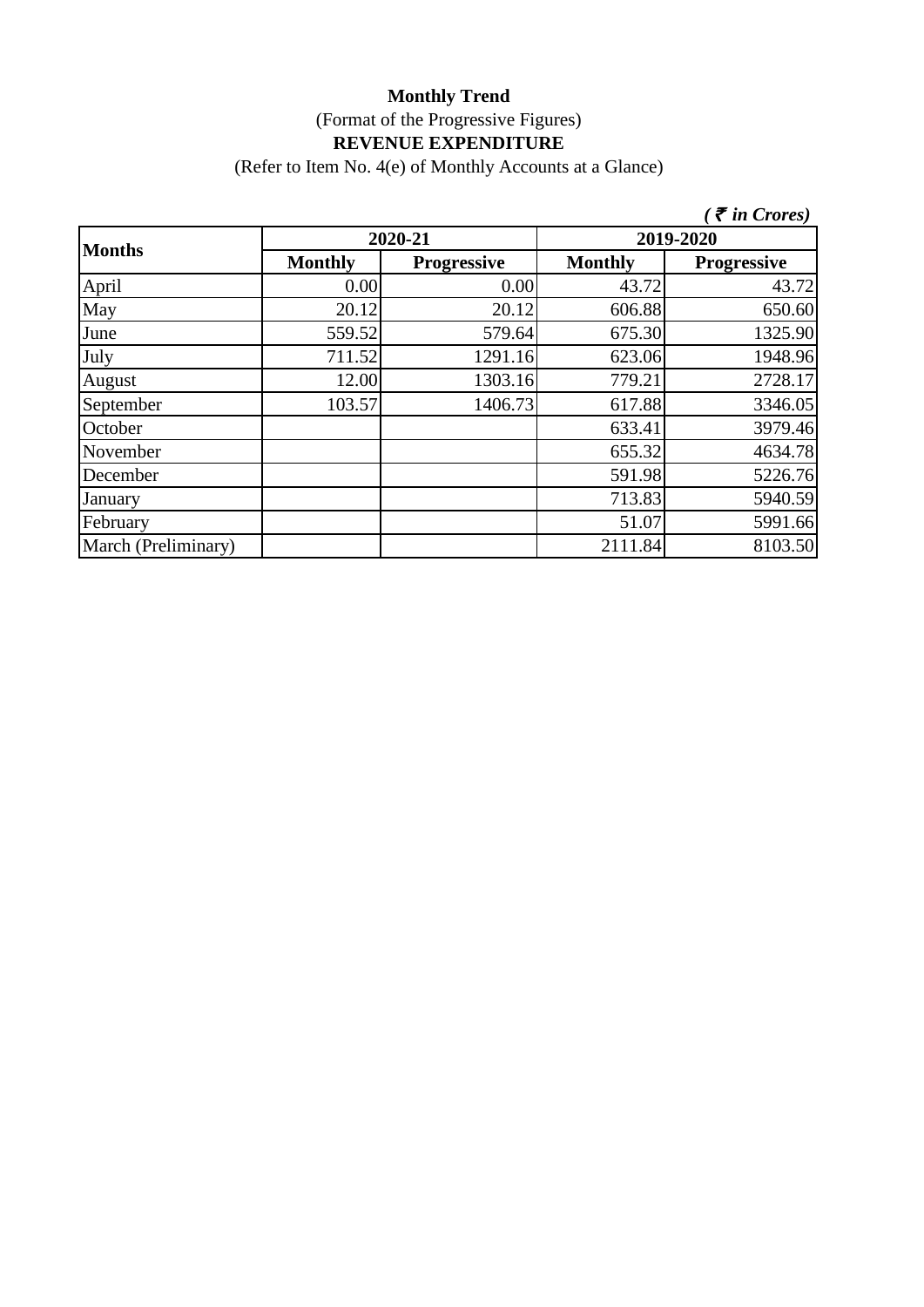(Refer to Item No. 4(e) of Monthly Accounts at a Glance)

|                     |                |                    |                | $\zeta$ $\bar{\zeta}$ in Crores) |
|---------------------|----------------|--------------------|----------------|----------------------------------|
| <b>Months</b>       | 2020-21        |                    | 2019-2020      |                                  |
|                     | <b>Monthly</b> | <b>Progressive</b> | <b>Monthly</b> | <b>Progressive</b>               |
| April               | 0.00           | 0.00               | 43.72          | 43.72                            |
| May                 | 20.12          | 20.12              | 606.88         | 650.60                           |
| June                | 559.52         | 579.64             | 675.30         | 1325.90                          |
| July                | 711.52         | 1291.16            | 623.06         | 1948.96                          |
| August              | 12.00          | 1303.16            | 779.21         | 2728.17                          |
| September           | 103.57         | 1406.73            | 617.88         | 3346.05                          |
| October             |                |                    | 633.41         | 3979.46                          |
| November            |                |                    | 655.32         | 4634.78                          |
| December            |                |                    | 591.98         | 5226.76                          |
| January             |                |                    | 713.83         | 5940.59                          |
| February            |                |                    | 51.07          | 5991.66                          |
| March (Preliminary) |                |                    | 2111.84        | 8103.50                          |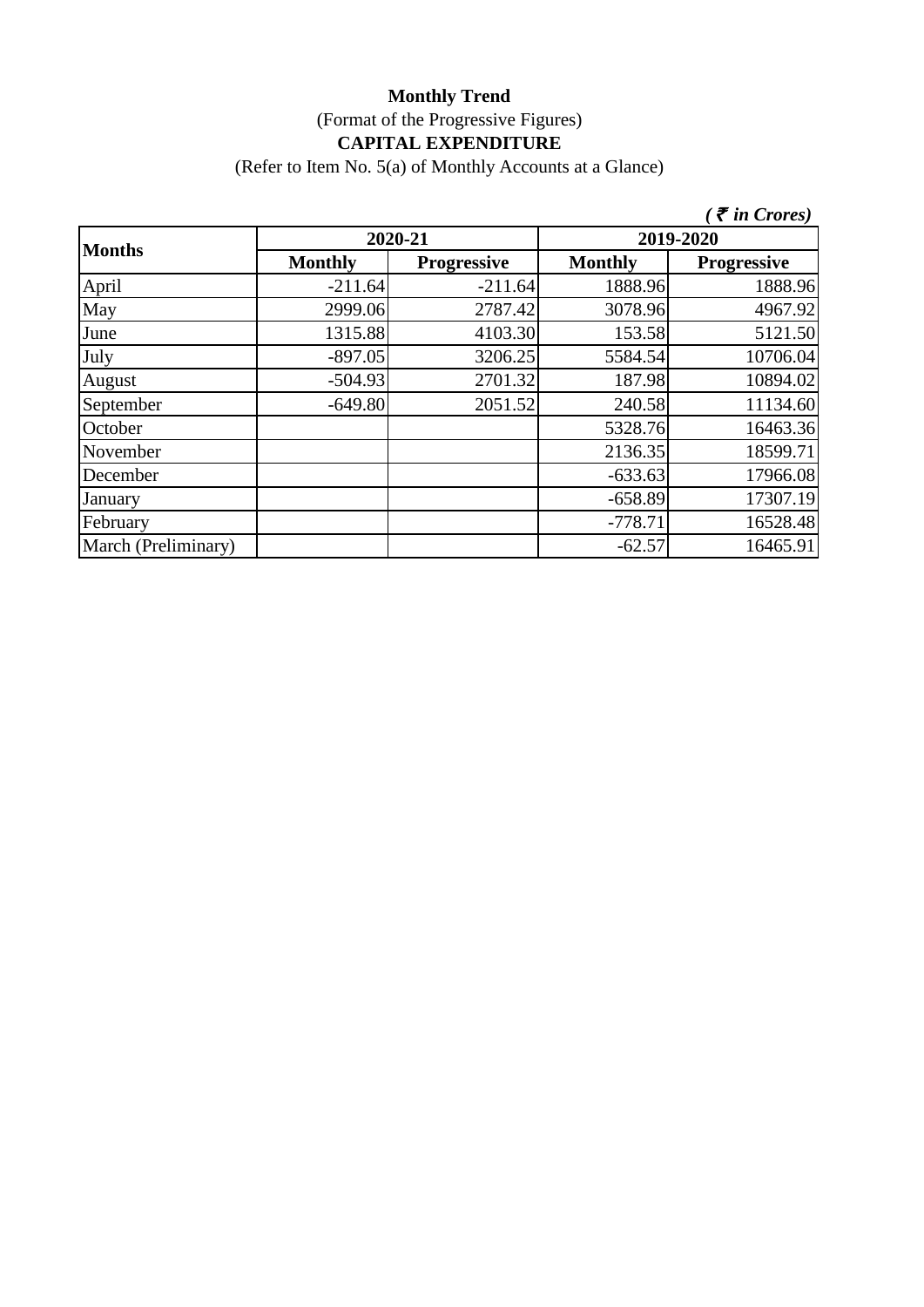## **Monthly Trend** (Format of the Progressive Figures) **CAPITAL EXPENDITURE**

(Refer to Item No. 5(a) of Monthly Accounts at a Glance)

|                     |                |                    |                | $\zeta$ <i>(† in Crores)</i> |
|---------------------|----------------|--------------------|----------------|------------------------------|
| <b>Months</b>       | 2020-21        |                    | 2019-2020      |                              |
|                     | <b>Monthly</b> | <b>Progressive</b> | <b>Monthly</b> | <b>Progressive</b>           |
| April               | $-211.64$      | $-211.64$          | 1888.96        | 1888.96                      |
| May                 | 2999.06        | 2787.42            | 3078.96        | 4967.92                      |
| June                | 1315.88        | 4103.30            | 153.58         | 5121.50                      |
| July                | $-897.05$      | 3206.25            | 5584.54        | 10706.04                     |
| August              | $-504.93$      | 2701.32            | 187.98         | 10894.02                     |
| September           | $-649.80$      | 2051.52            | 240.58         | 11134.60                     |
| October             |                |                    | 5328.76        | 16463.36                     |
| November            |                |                    | 2136.35        | 18599.71                     |
| December            |                |                    | $-633.63$      | 17966.08                     |
| January             |                |                    | $-658.89$      | 17307.19                     |
| February            |                |                    | $-778.71$      | 16528.48                     |
| March (Preliminary) |                |                    | $-62.57$       | 16465.91                     |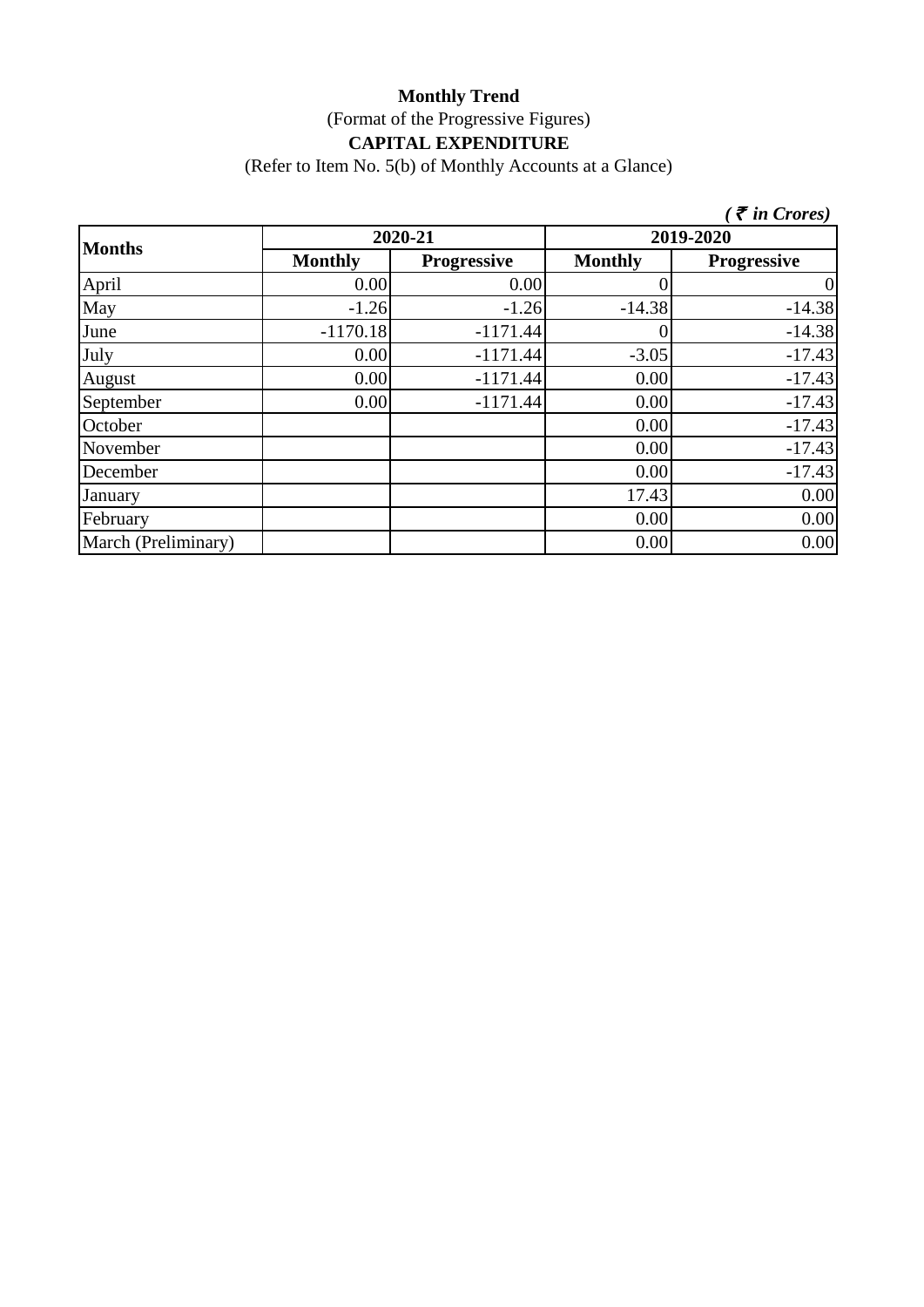#### **Monthly Trend** (Format of the Progressive Figures) **CAPITAL EXPENDITURE**

(Refer to Item No. 5(b) of Monthly Accounts at a Glance)

|                     |                |                    |                | $\zeta$ <i>( <math>\bar{\zeta}</math> in Crores)</i> |
|---------------------|----------------|--------------------|----------------|------------------------------------------------------|
| <b>Months</b>       | 2020-21        |                    | 2019-2020      |                                                      |
|                     | <b>Monthly</b> | <b>Progressive</b> | <b>Monthly</b> | <b>Progressive</b>                                   |
| April               | 0.00           | 0.00               |                | $\vert 0 \vert$                                      |
| May                 | $-1.26$        | $-1.26$            | $-14.38$       | $-14.38$                                             |
| June                | $-1170.18$     | $-1171.44$         |                | $-14.38$                                             |
| July                | 0.00           | $-1171.44$         | $-3.05$        | $-17.43$                                             |
| August              | 0.00           | $-1171.44$         | 0.00           | $-17.43$                                             |
| September           | 0.00           | $-1171.44$         | 0.00           | $-17.43$                                             |
| October             |                |                    | 0.00           | $-17.43$                                             |
| November            |                |                    | 0.00           | $-17.43$                                             |
| December            |                |                    | 0.00           | $-17.43$                                             |
| January             |                |                    | 17.43          | 0.00                                                 |
| February            |                |                    | 0.00           | 0.00                                                 |
| March (Preliminary) |                |                    | 0.00           | 0.00                                                 |